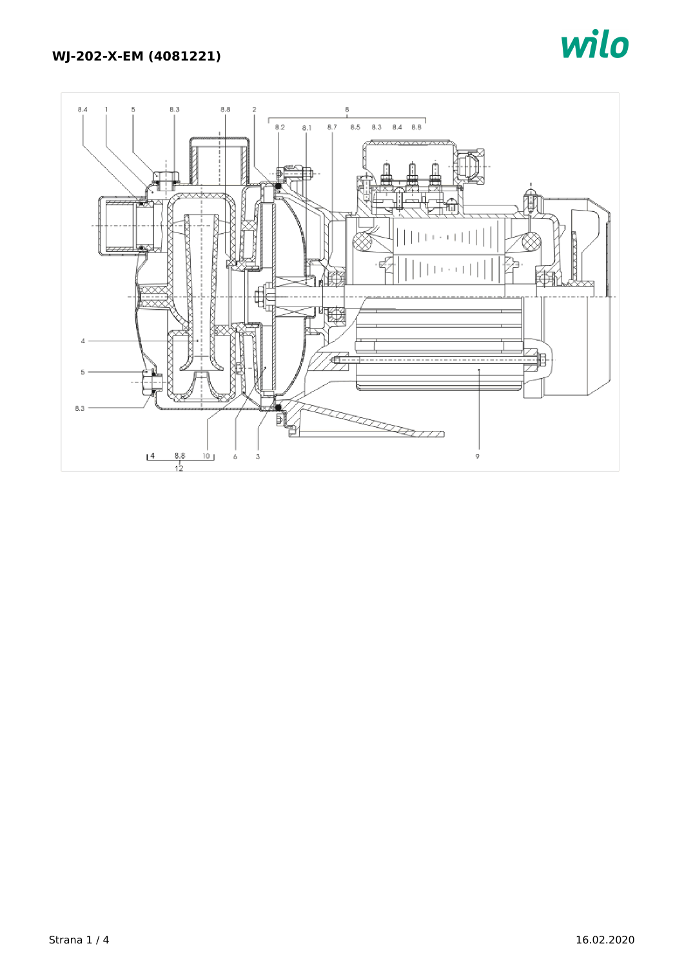# wilo

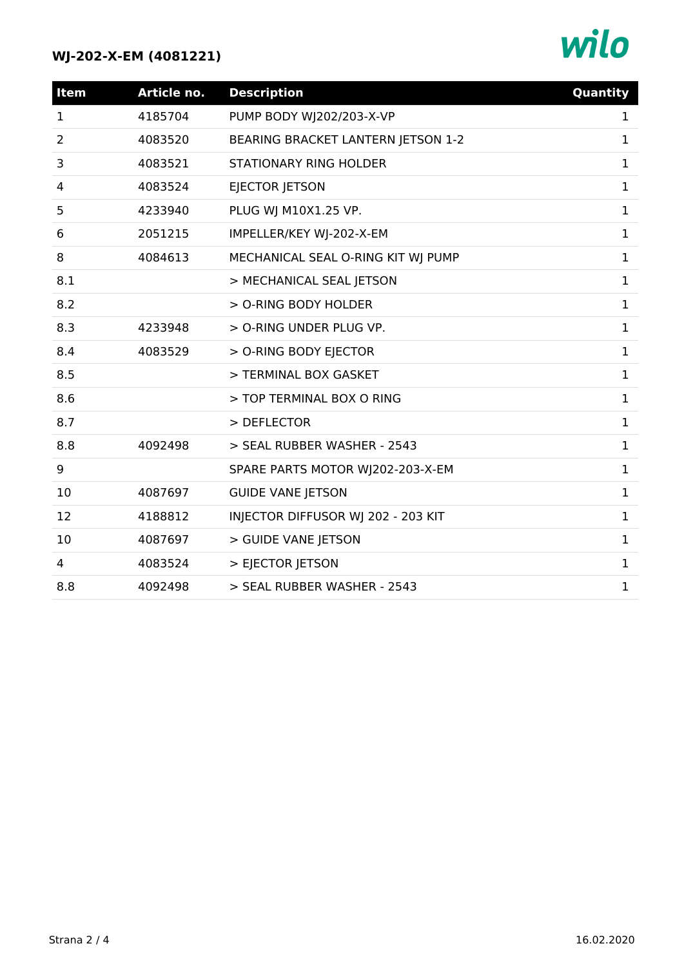#### **WJ-202-X-EM (4081221)**

## wilo

| Item           | Article no. | <b>Description</b>                        | Quantity     |
|----------------|-------------|-------------------------------------------|--------------|
| 1              | 4185704     | PUMP BODY WJ202/203-X-VP                  | 1            |
| $\overline{2}$ | 4083520     | <b>BEARING BRACKET LANTERN JETSON 1-2</b> | $\mathbf{1}$ |
| 3              | 4083521     | STATIONARY RING HOLDER                    | 1            |
| 4              | 4083524     | <b>EJECTOR JETSON</b>                     | $\mathbf 1$  |
| 5              | 4233940     | PLUG WJ M10X1.25 VP.                      | $\mathbf{1}$ |
| 6              | 2051215     | IMPELLER/KEY WJ-202-X-EM                  | 1            |
| 8              | 4084613     | MECHANICAL SEAL O-RING KIT WJ PUMP        | $\mathbf 1$  |
| 8.1            |             | > MECHANICAL SEAL JETSON                  | 1            |
| 8.2            |             | > O-RING BODY HOLDER                      | $\mathbf 1$  |
| 8.3            | 4233948     | > O-RING UNDER PLUG VP.                   | $\mathbf{1}$ |
| 8.4            | 4083529     | > O-RING BODY EJECTOR                     | 1            |
| 8.5            |             | > TERMINAL BOX GASKET                     | $\mathbf 1$  |
| 8.6            |             | > TOP TERMINAL BOX O RING                 | 1            |
| 8.7            |             | > DEFLECTOR                               | $\mathbf 1$  |
| 8.8            | 4092498     | > SEAL RUBBER WASHER - 2543               | $\mathbf{1}$ |
| 9              |             | SPARE PARTS MOTOR WJ202-203-X-EM          | 1            |
| 10             | 4087697     | <b>GUIDE VANE JETSON</b>                  | $\mathbf 1$  |
| 12             | 4188812     | INJECTOR DIFFUSOR WJ 202 - 203 KIT        | 1            |
| 10             | 4087697     | > GUIDE VANE JETSON                       | 1            |
| 4              | 4083524     | > EJECTOR JETSON                          | $\mathbf{1}$ |
| 8.8            | 4092498     | > SEAL RUBBER WASHER - 2543               | 1            |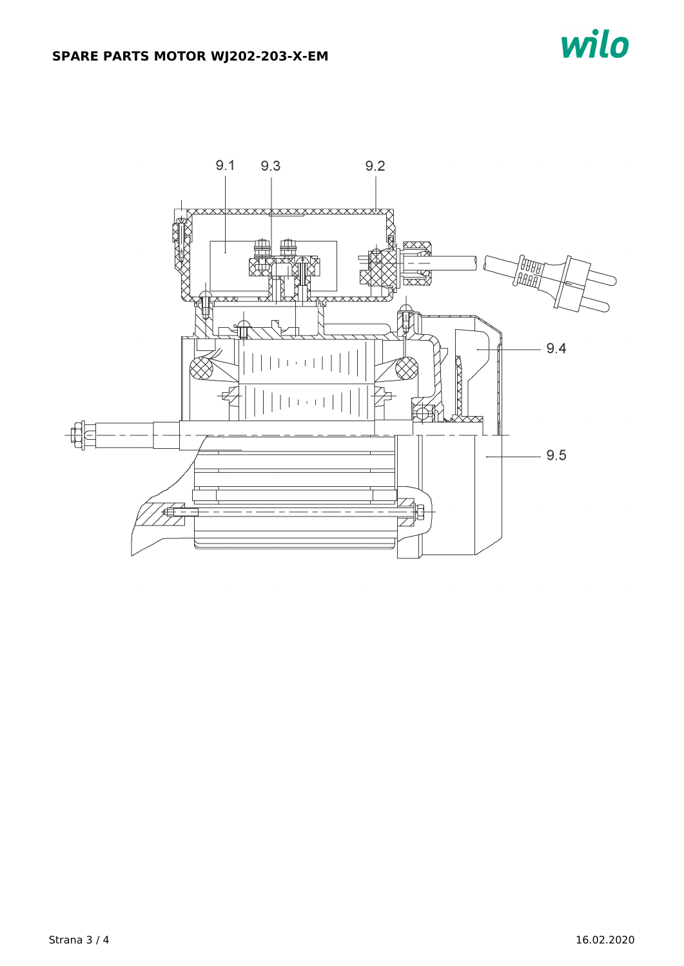### $9.1$   $9.3$  $9.2$ <u>xxxxxxxxxxxx</u>x <u>xxxxxxxxx</u> Íś <u>kxx</u> ATTEL  $\equiv$   $\frac{1}{2}$ AAAA Ш  $9.4$  $\mathbf{I}$  $\overline{\phantom{a}}$  $X$   $X$   $X$   $X$   $Y$  $1 + 1 + 1$  $-9.5$ 鉬